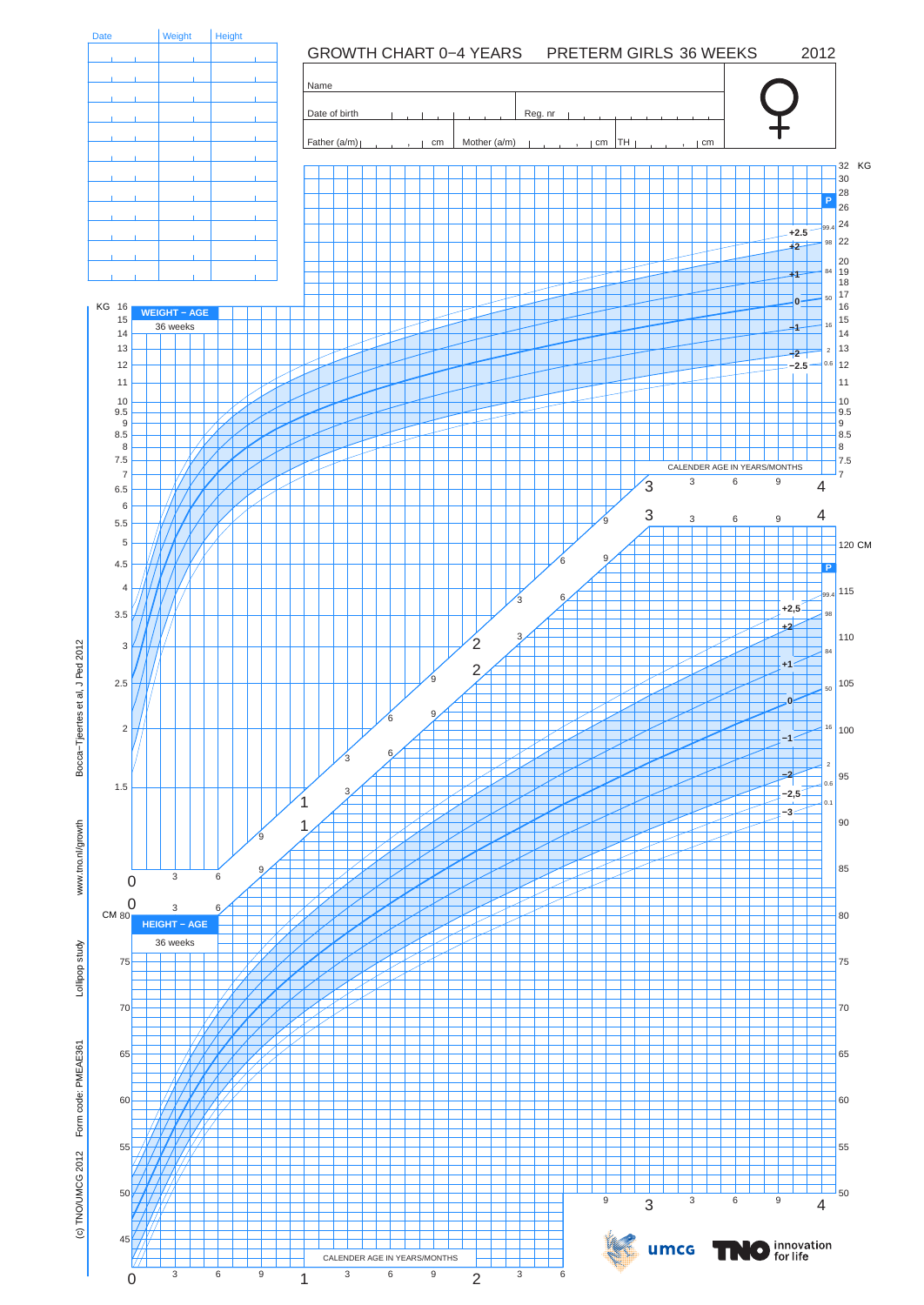